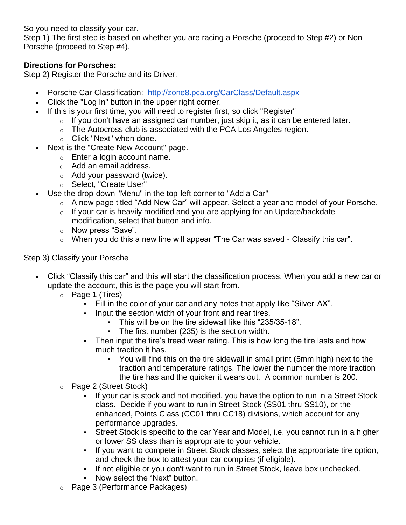So you need to classify your car.

Step 1) The first step is based on whether you are racing a Porsche (proceed to Step #2) or Non-Porsche (proceed to Step #4).

## **Directions for Porsches:**

Step 2) Register the Porsche and its Driver.

- Porsche Car Classification: <http://zone8.pca.org/CarClass/Default.aspx>
- Click the "Log In" button in the upper right corner.
- If this is your first time, you will need to register first, so click "Register"
	- $\circ$  If you don't have an assigned car number, just skip it, as it can be entered later.
	- $\circ$  The Autocross club is associated with the PCA Los Angeles region.
	- o Click "Next" when done.
- Next is the "Create New Account" page.
	- o Enter a login account name.
	- o Add an email address.
	- o Add your password (twice).
	- o Select, "Create User"
- Use the drop-down "Menu" in the top-left corner to "Add a Car"
	- $\circ$  A new page titled "Add New Car" will appear. Select a year and model of your Porsche.
	- $\circ$  If your car is heavily modified and you are applying for an Update/backdate modification, select that button and info.
	- o Now press "Save".
	- o When you do this a new line will appear "The Car was saved ‐ Classify this car".

## Step 3) Classify your Porsche

- Click "Classify this car" and this will start the classification process. When you add a new car or update the account, this is the page you will start from.
	- o Page 1 (Tires)
		- Fill in the color of your car and any notes that apply like "Silver-AX".
		- **Input the section width of your front and rear tires.** 
			- This will be on the tire sidewall like this "235/35-18".
			- The first number (235) is the section width.
		- Then input the tire's tread wear rating. This is how long the tire lasts and how much traction it has.
			- You will find this on the tire sidewall in small print (5mm high) next to the traction and temperature ratings. The lower the number the more traction the tire has and the quicker it wears out. A common number is 200.
	- o Page 2 (Street Stock)
		- If your car is stock and not modified, you have the option to run in a Street Stock class. Decide if you want to run in Street Stock (SS01 thru SS10), or the enhanced, Points Class (CC01 thru CC18) divisions, which account for any performance upgrades.
		- **EXEL Street Stock is specific to the car Year and Model, i.e. you cannot run in a higher** or lower SS class than is appropriate to your vehicle.
		- If you want to compete in Street Stock classes, select the appropriate tire option, and check the box to attest your car complies (if eligible).
		- **EXT** If not eligible or you don't want to run in Street Stock, leave box unchecked.
		- Now select the "Next" button.
	- o Page 3 (Performance Packages)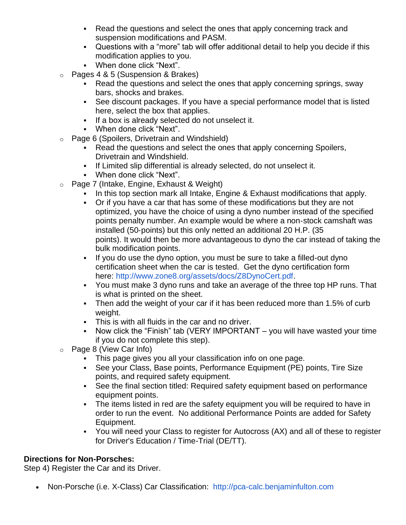- Read the questions and select the ones that apply concerning track and suspension modifications and PASM.
- Questions with a "more" tab will offer additional detail to help you decide if this modification applies to you.
- When done click "Next".
- $\circ$  Pages 4 & 5 (Suspension & Brakes)
	- **Read the questions and select the ones that apply concerning springs, sway** bars, shocks and brakes.
	- See discount packages. If you have a special performance model that is listed here, select the box that applies.
	- **.** If a box is already selected do not unselect it.
	- When done click "Next".
- o Page 6 (Spoilers, Drivetrain and Windshield)
	- Read the questions and select the ones that apply concerning Spoilers, Drivetrain and Windshield.
	- If Limited slip differential is already selected, do not unselect it.
	- When done click "Next".
- o Page 7 (Intake, Engine, Exhaust & Weight)
	- In this top section mark all Intake, Engine & Exhaust modifications that apply.
	- Or if you have a car that has some of these modifications but they are not optimized, you have the choice of using a dyno number instead of the specified points penalty number. An example would be where a non‐stock camshaft was installed (50‐points) but this only netted an additional 20 H.P. (35 points). It would then be more advantageous to dyno the car instead of taking the bulk modification points.
	- If you do use the dyno option, you must be sure to take a filled-out dyno certification sheet when the car is tested. Get the dyno certification form here: [http://www.zone8.org/assets/docs/Z8DynoCert.pdf.](http://www.zone8.org/assets/docs/Z8DynoCert.pdf)
	- You must make 3 dyno runs and take an average of the three top HP runs. That is what is printed on the sheet.
	- Then add the weight of your car if it has been reduced more than 1.5% of curb weight.
	- **•** This is with all fluids in the car and no driver.
	- Now click the "Finish" tab (VERY IMPORTANT you will have wasted your time if you do not complete this step).
- o Page 8 (View Car Info)
	- This page gives you all your classification info on one page.
	- See your Class, Base points, Performance Equipment (PE) points, Tire Size points, and required safety equipment.
	- See the final section titled: Required safety equipment based on performance equipment points.
	- **•** The items listed in red are the safety equipment you will be required to have in order to run the event. No additional Performance Points are added for Safety Equipment.
	- You will need your Class to register for Autocross (AX) and all of these to register for Driver's Education / Time-Trial (DE/TT).

## **Directions for Non-Porsches:**

Step 4) Register the Car and its Driver.

• Non-Porsche (i.e. X-Class) Car Classification: [http://pca-calc.benjaminfulton.com](http://pca-calc.benjaminfulton.com/)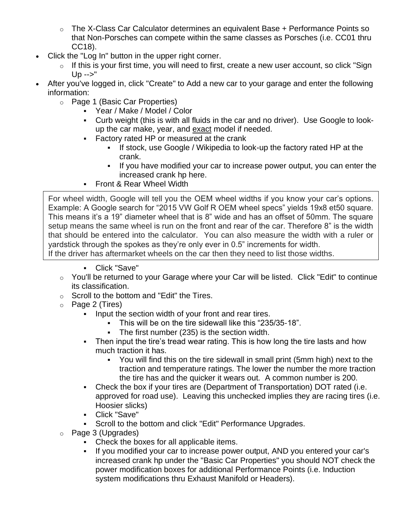- $\circ$  The X-Class Car Calculator determines an equivalent Base + Performance Points so that Non-Porsches can compete within the same classes as Porsches (i.e. CC01 thru CC18).
- Click the "Log In" button in the upper right corner.
	- o If this is your first time, you will need to first, create a new user account, so click "Sign Up -->"
- After you've logged in, click "Create" to Add a new car to your garage and enter the following information:
	- o Page 1 (Basic Car Properties)
		- Year / Make / Model / Color
		- Curb weight (this is with all fluids in the car and no driver). Use Google to lookup the car make, year, and exact model if needed.
		- **EXECT** Factory rated HP or measured at the crank
			- If stock, use Google / Wikipedia to look-up the factory rated HP at the crank.
			- If you have modified your car to increase power output, you can enter the increased crank hp here.
		- **Front & Rear Wheel Width**

For wheel width, Google will tell you the OEM wheel widths if you know your car's options. Example: A Google search for "2015 VW Golf R OEM wheel specs" yields 19x8 et50 square. This means it's a 19" diameter wheel that is 8" wide and has an offset of 50mm. The square setup means the same wheel is run on the front and rear of the car. Therefore 8" is the width that should be entered into the calculator. You can also measure the width with a ruler or yardstick through the spokes as they're only ever in 0.5" increments for width.

If the driver has aftermarket wheels on the car then they need to list those widths.

- Click "Save"
- o You'll be returned to your Garage where your Car will be listed. Click "Edit" to continue its classification.
- o Scroll to the bottom and "Edit" the Tires.
- o Page 2 (Tires)
	- **.** Input the section width of your front and rear tires.
		- This will be on the tire sidewall like this "235/35‐18".
		- The first number (235) is the section width.
	- Then input the tire's tread wear rating. This is how long the tire lasts and how much traction it has.
		- You will find this on the tire sidewall in small print (5mm high) next to the traction and temperature ratings. The lower the number the more traction the tire has and the quicker it wears out. A common number is 200.
	- Check the box if your tires are (Department of Transportation) DOT rated (i.e. approved for road use). Leaving this unchecked implies they are racing tires (i.e. Hoosier slicks)
	- Click "Save"
	- Scroll to the bottom and click "Edit" Performance Upgrades.
- o Page 3 (Upgrades)
	- Check the boxes for all applicable items.
	- If you modified your car to increase power output, AND you entered your car's increased crank hp under the "Basic Car Properties" you should NOT check the power modification boxes for additional Performance Points (i.e. Induction system modifications thru Exhaust Manifold or Headers).